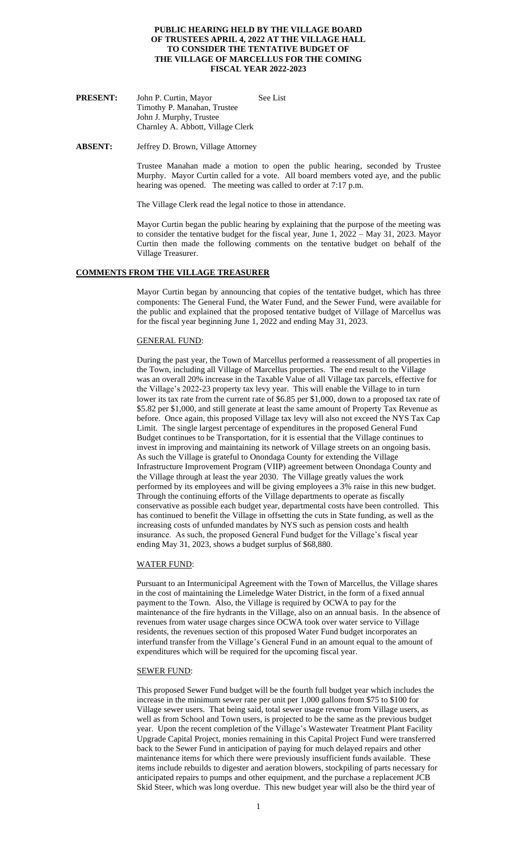### **PUBLIC HEARING HELD BY THE VILLAGE BOARD OF TRUSTEES APRIL 4, 2022 AT THE VILLAGE HALL TO CONSIDER THE TENTATIVE BUDGET OF THE VILLAGE OF MARCELLUS FOR THE COMING FISCAL YEAR 2022-2023**

PRESENT: John P. Curtin, Mayor See List Timothy P. Manahan, Trustee John J. Murphy, Trustee Charnley A. Abbott, Village Clerk

**ABSENT:** Jeffrey D. Brown, Village Attorney

Trustee Manahan made a motion to open the public hearing, seconded by Trustee Murphy. Mayor Curtin called for a vote. All board members voted aye, and the public hearing was opened. The meeting was called to order at 7:17 p.m.

The Village Clerk read the legal notice to those in attendance.

Mayor Curtin began the public hearing by explaining that the purpose of the meeting was to consider the tentative budget for the fiscal year, June 1, 2022 – May 31, 2023. Mayor Curtin then made the following comments on the tentative budget on behalf of the Village Treasurer.

### **COMMENTS FROM THE VILLAGE TREASURER**

Mayor Curtin began by announcing that copies of the tentative budget, which has three components: The General Fund, the Water Fund, and the Sewer Fund, were available for the public and explained that the proposed tentative budget of Village of Marcellus was for the fiscal year beginning June 1, 2022 and ending May 31, 2023.

### GENERAL FUND:

During the past year, the Town of Marcellus performed a reassessment of all properties in the Town, including all Village of Marcellus properties. The end result to the Village was an overall 20% increase in the Taxable Value of all Village tax parcels, effective for the Village's 2022-23 property tax levy year. This will enable the Village to in turn lower its tax rate from the current rate of \$6.85 per \$1,000, down to a proposed tax rate of \$5.82 per \$1,000, and still generate at least the same amount of Property Tax Revenue as before. Once again, this proposed Village tax levy will also not exceed the NYS Tax Cap Limit. The single largest percentage of expenditures in the proposed General Fund Budget continues to be Transportation, for it is essential that the Village continues to invest in improving and maintaining its network of Village streets on an ongoing basis. As such the Village is grateful to Onondaga County for extending the Village Infrastructure Improvement Program (VIIP) agreement between Onondaga County and the Village through at least the year 2030. The Village greatly values the work performed by its employees and will be giving employees a 3% raise in this new budget. Through the continuing efforts of the Village departments to operate as fiscally conservative as possible each budget year, departmental costs have been controlled. This has continued to benefit the Village in offsetting the cuts in State funding, as well as the increasing costs of unfunded mandates by NYS such as pension costs and health insurance. As such, the proposed General Fund budget for the Village's fiscal year ending May 31, 2023, shows a budget surplus of \$68,880.

#### WATER FUND:

Pursuant to an Intermunicipal Agreement with the Town of Marcellus, the Village shares in the cost of maintaining the Limeledge Water District, in the form of a fixed annual payment to the Town. Also, the Village is required by OCWA to pay for the maintenance of the fire hydrants in the Village, also on an annual basis. In the absence of revenues from water usage charges since OCWA took over water service to Village residents, the revenues section of this proposed Water Fund budget incorporates an interfund transfer from the Village's General Fund in an amount equal to the amount of expenditures which will be required for the upcoming fiscal year.

#### SEWER FUND:

This proposed Sewer Fund budget will be the fourth full budget year which includes the increase in the minimum sewer rate per unit per 1,000 gallons from \$75 to \$100 for Village sewer users. That being said, total sewer usage revenue from Village users, as well as from School and Town users, is projected to be the same as the previous budget year. Upon the recent completion of the Village's Wastewater Treatment Plant Facility Upgrade Capital Project, monies remaining in this Capital Project Fund were transferred back to the Sewer Fund in anticipation of paying for much delayed repairs and other maintenance items for which there were previously insufficient funds available. These items include rebuilds to digester and aeration blowers, stockpiling of parts necessary for anticipated repairs to pumps and other equipment, and the purchase a replacement JCB Skid Steer, which was long overdue. This new budget year will also be the third year of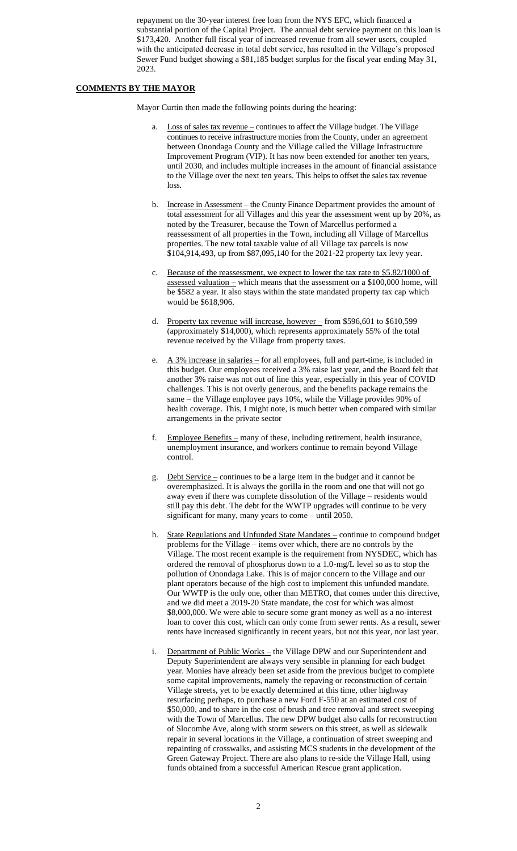repayment on the 30-year interest free loan from the NYS EFC, which financed a substantial portion of the Capital Project. The annual debt service payment on this loan is \$173,420. Another full fiscal year of increased revenue from all sewer users, coupled with the anticipated decrease in total debt service, has resulted in the Village's proposed Sewer Fund budget showing a \$81,185 budget surplus for the fiscal year ending May 31, 2023.

## **COMMENTS BY THE MAYOR**

Mayor Curtin then made the following points during the hearing:

- a. Loss of sales tax revenue continues to affect the Village budget. The Village continues to receive infrastructure monies from the County, under an agreement between Onondaga County and the Village called the Village Infrastructure Improvement Program (VIP). It has now been extended for another ten years, until 2030, and includes multiple increases in the amount of financial assistance to the Village over the next ten years. This helps to offset the sales tax revenue loss.
- b. Increase in Assessment the County Finance Department provides the amount of total assessment for all Villages and this year the assessment went up by 20%, as noted by the Treasurer, because the Town of Marcellus performed a reassessment of all properties in the Town, including all Village of Marcellus properties. The new total taxable value of all Village tax parcels is now \$104,914,493, up from \$87,095,140 for the 2021-22 property tax levy year.
- c. Because of the reassessment, we expect to lower the tax rate to \$5.82/1000 of assessed valuation – which means that the assessment on a  $$100,000$  home, will be \$582 a year. It also stays within the state mandated property tax cap which would be \$618,906.
- d. Property tax revenue will increase, however from \$596,601 to \$610,599 (approximately \$14,000), which represents approximately 55% of the total revenue received by the Village from property taxes.
- e.  $\overline{A}$  3% increase in salaries for all employees, full and part-time, is included in this budget. Our employees received a 3% raise last year, and the Board felt that another 3% raise was not out of line this year, especially in this year of COVID challenges. This is not overly generous, and the benefits package remains the same – the Village employee pays 10%, while the Village provides 90% of health coverage. This, I might note, is much better when compared with similar arrangements in the private sector
- f. Employee Benefits many of these, including retirement, health insurance, unemployment insurance, and workers continue to remain beyond Village control.
- g. Debt Service continues to be a large item in the budget and it cannot be overemphasized. It is always the gorilla in the room and one that will not go away even if there was complete dissolution of the Village – residents would still pay this debt. The debt for the WWTP upgrades will continue to be very significant for many, many years to come – until 2050.
- h. State Regulations and Unfunded State Mandates continue to compound budget problems for the Village – items over which, there are no controls by the Village. The most recent example is the requirement from NYSDEC, which has ordered the removal of phosphorus down to a 1.0-mg/L level so as to stop the pollution of Onondaga Lake. This is of major concern to the Village and our plant operators because of the high cost to implement this unfunded mandate. Our WWTP is the only one, other than METRO, that comes under this directive, and we did meet a 2019-20 State mandate, the cost for which was almost \$8,000,000. We were able to secure some grant money as well as a no-interest loan to cover this cost, which can only come from sewer rents. As a result, sewer rents have increased significantly in recent years, but not this year, nor last year.
- i. Department of Public Works the Village DPW and our Superintendent and Deputy Superintendent are always very sensible in planning for each budget year. Monies have already been set aside from the previous budget to complete some capital improvements, namely the repaving or reconstruction of certain Village streets, yet to be exactly determined at this time, other highway resurfacing perhaps, to purchase a new Ford F-550 at an estimated cost of \$50,000, and to share in the cost of brush and tree removal and street sweeping with the Town of Marcellus. The new DPW budget also calls for reconstruction of Slocombe Ave, along with storm sewers on this street, as well as sidewalk repair in several locations in the Village, a continuation of street sweeping and repainting of crosswalks, and assisting MCS students in the development of the Green Gateway Project. There are also plans to re-side the Village Hall, using funds obtained from a successful American Rescue grant application.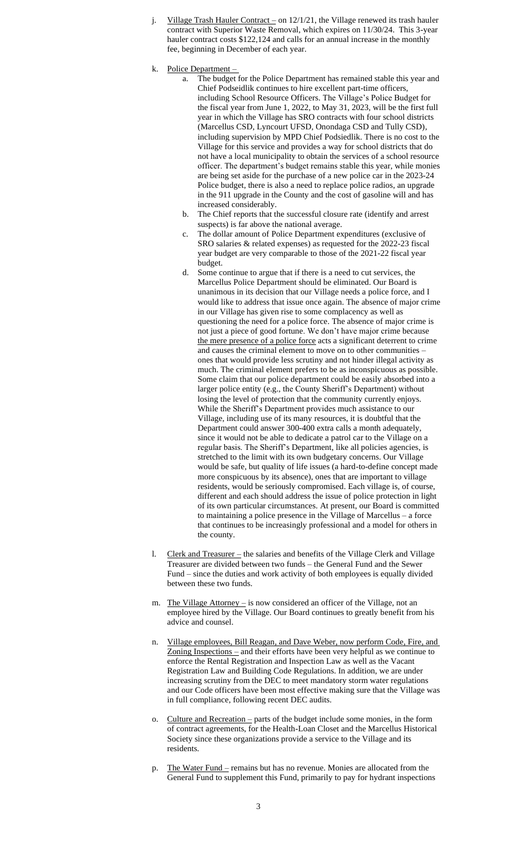- j. Village Trash Hauler Contract on  $12/1/21$ , the Village renewed its trash hauler contract with Superior Waste Removal, which expires on 11/30/24. This 3-year hauler contract costs \$122,124 and calls for an annual increase in the monthly fee, beginning in December of each year.
- k. Police Department
	- a. The budget for the Police Department has remained stable this year and Chief Podseidlik continues to hire excellent part-time officers, including School Resource Officers. The Village's Police Budget for the fiscal year from June 1, 2022, to May 31, 2023, will be the first full year in which the Village has SRO contracts with four school districts (Marcellus CSD, Lyncourt UFSD, Onondaga CSD and Tully CSD), including supervision by MPD Chief Podsiedlik. There is no cost to the Village for this service and provides a way for school districts that do not have a local municipality to obtain the services of a school resource officer. The department's budget remains stable this year, while monies are being set aside for the purchase of a new police car in the 2023-24 Police budget, there is also a need to replace police radios, an upgrade in the 911 upgrade in the County and the cost of gasoline will and has increased considerably.
	- b. The Chief reports that the successful closure rate (identify and arrest suspects) is far above the national average.
	- c. The dollar amount of Police Department expenditures (exclusive of SRO salaries & related expenses) as requested for the 2022-23 fiscal year budget are very comparable to those of the 2021-22 fiscal year budget.
	- d. Some continue to argue that if there is a need to cut services, the Marcellus Police Department should be eliminated. Our Board is unanimous in its decision that our Village needs a police force, and I would like to address that issue once again. The absence of major crime in our Village has given rise to some complacency as well as questioning the need for a police force. The absence of major crime is not just a piece of good fortune. We don't have major crime because the mere presence of a police force acts a significant deterrent to crime and causes the criminal element to move on to other communities – ones that would provide less scrutiny and not hinder illegal activity as much. The criminal element prefers to be as inconspicuous as possible. Some claim that our police department could be easily absorbed into a larger police entity (e.g., the County Sheriff's Department) without losing the level of protection that the community currently enjoys. While the Sheriff's Department provides much assistance to our Village, including use of its many resources, it is doubtful that the Department could answer 300-400 extra calls a month adequately, since it would not be able to dedicate a patrol car to the Village on a regular basis. The Sheriff's Department, like all policies agencies, is stretched to the limit with its own budgetary concerns. Our Village would be safe, but quality of life issues (a hard-to-define concept made more conspicuous by its absence), ones that are important to village residents, would be seriously compromised. Each village is, of course, different and each should address the issue of police protection in light of its own particular circumstances. At present, our Board is committed to maintaining a police presence in the Village of Marcellus – a force that continues to be increasingly professional and a model for others in the county.
- l. Clerk and Treasurer the salaries and benefits of the Village Clerk and Village Treasurer are divided between two funds – the General Fund and the Sewer Fund – since the duties and work activity of both employees is equally divided between these two funds.
- m. The Village Attorney is now considered an officer of the Village, not an employee hired by the Village. Our Board continues to greatly benefit from his advice and counsel.
- n. Village employees, Bill Reagan, and Dave Weber, now perform Code, Fire, and Zoning Inspections – and their efforts have been very helpful as we continue to enforce the Rental Registration and Inspection Law as well as the Vacant Registration Law and Building Code Regulations. In addition, we are under increasing scrutiny from the DEC to meet mandatory storm water regulations and our Code officers have been most effective making sure that the Village was in full compliance, following recent DEC audits.
- o. Culture and Recreation parts of the budget include some monies, in the form of contract agreements, for the Health-Loan Closet and the Marcellus Historical Society since these organizations provide a service to the Village and its residents.
- p. The Water Fund remains but has no revenue. Monies are allocated from the General Fund to supplement this Fund, primarily to pay for hydrant inspections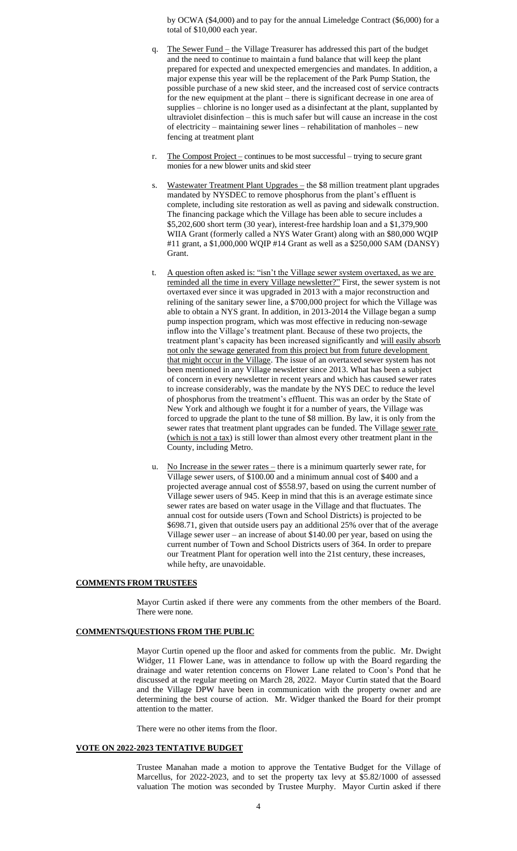by OCWA (\$4,000) and to pay for the annual Limeledge Contract (\$6,000) for a total of \$10,000 each year.

- q. The Sewer Fund the Village Treasurer has addressed this part of the budget and the need to continue to maintain a fund balance that will keep the plant prepared for expected and unexpected emergencies and mandates. In addition, a major expense this year will be the replacement of the Park Pump Station, the possible purchase of a new skid steer, and the increased cost of service contracts for the new equipment at the plant – there is significant decrease in one area of supplies – chlorine is no longer used as a disinfectant at the plant, supplanted by ultraviolet disinfection – this is much safer but will cause an increase in the cost of electricity – maintaining sewer lines – rehabilitation of manholes – new fencing at treatment plant
- r. The Compost Project continues to be most successful trying to secure grant monies for a new blower units and skid steer
- s. Wastewater Treatment Plant Upgrades the \$8 million treatment plant upgrades mandated by NYSDEC to remove phosphorus from the plant's effluent is complete, including site restoration as well as paving and sidewalk construction. The financing package which the Village has been able to secure includes a \$5,202,600 short term (30 year), interest-free hardship loan and a \$1,379,900 WIIA Grant (formerly called a NYS Water Grant) along with an \$80,000 WQIP #11 grant, a \$1,000,000 WQIP #14 Grant as well as a \$250,000 SAM (DANSY) Grant.
- t. A question often asked is: "isn't the Village sewer system overtaxed, as we are reminded all the time in every Village newsletter?" First, the sewer system is not overtaxed ever since it was upgraded in 2013 with a major reconstruction and relining of the sanitary sewer line, a \$700,000 project for which the Village was able to obtain a NYS grant. In addition, in 2013-2014 the Village began a sump pump inspection program, which was most effective in reducing non-sewage inflow into the Village's treatment plant. Because of these two projects, the treatment plant's capacity has been increased significantly and will easily absorb not only the sewage generated from this project but from future development that might occur in the Village. The issue of an overtaxed sewer system has not been mentioned in any Village newsletter since 2013. What has been a subject of concern in every newsletter in recent years and which has caused sewer rates to increase considerably, was the mandate by the NYS DEC to reduce the level of phosphorus from the treatment's effluent. This was an order by the State of New York and although we fought it for a number of years, the Village was forced to upgrade the plant to the tune of \$8 million. By law, it is only from the sewer rates that treatment plant upgrades can be funded. The Village sewer rate (which is not a tax) is still lower than almost every other treatment plant in the County, including Metro.
- u. No Increase in the sewer rates there is a minimum quarterly sewer rate, for Village sewer users, of \$100.00 and a minimum annual cost of \$400 and a projected average annual cost of \$558.97, based on using the current number of Village sewer users of 945. Keep in mind that this is an average estimate since sewer rates are based on water usage in the Village and that fluctuates. The annual cost for outside users (Town and School Districts) is projected to be \$698.71, given that outside users pay an additional 25% over that of the average Village sewer user – an increase of about \$140.00 per year, based on using the current number of Town and School Districts users of 364. In order to prepare our Treatment Plant for operation well into the 21st century, these increases, while hefty, are unavoidable.

## **COMMENTS FROM TRUSTEES**

Mayor Curtin asked if there were any comments from the other members of the Board. There were none.

## **COMMENTS/QUESTIONS FROM THE PUBLIC**

Mayor Curtin opened up the floor and asked for comments from the public. Mr. Dwight Widger, 11 Flower Lane, was in attendance to follow up with the Board regarding the drainage and water retention concerns on Flower Lane related to Coon's Pond that he discussed at the regular meeting on March 28, 2022. Mayor Curtin stated that the Board and the Village DPW have been in communication with the property owner and are determining the best course of action. Mr. Widger thanked the Board for their prompt attention to the matter.

There were no other items from the floor.

## **VOTE ON 2022-2023 TENTATIVE BUDGET**

Trustee Manahan made a motion to approve the Tentative Budget for the Village of Marcellus, for 2022-2023, and to set the property tax levy at \$5.82/1000 of assessed valuation The motion was seconded by Trustee Murphy. Mayor Curtin asked if there